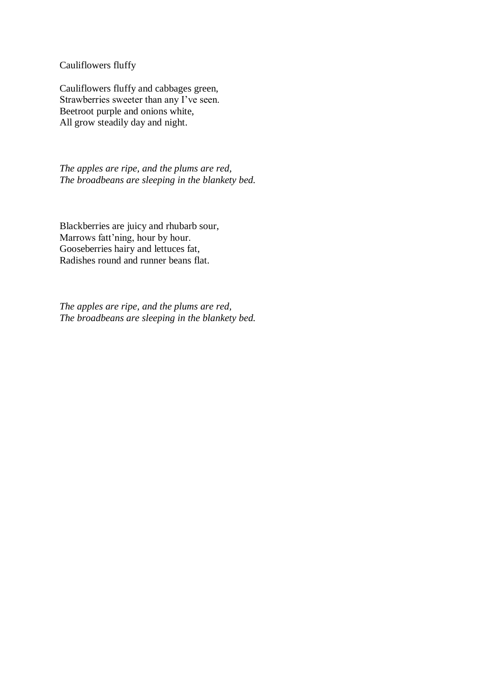Cauliflowers fluffy

Cauliflowers fluffy and cabbages green, Strawberries sweeter than any I've seen. Beetroot purple and onions white, All grow steadily day and night.

*The apples are ripe, and the plums are red, The broadbeans are sleeping in the blankety bed.* 

Blackberries are juicy and rhubarb sour, Marrows fatt'ning, hour by hour. Gooseberries hairy and lettuces fat, Radishes round and runner beans flat.

*The apples are ripe, and the plums are red, The broadbeans are sleeping in the blankety bed.*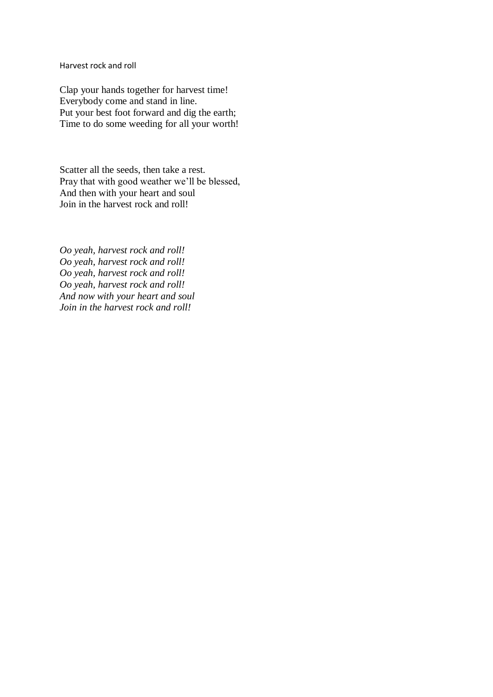Harvest rock and roll

Clap your hands together for harvest time! Everybody come and stand in line. Put your best foot forward and dig the earth; Time to do some weeding for all your worth!

Scatter all the seeds, then take a rest. Pray that with good weather we'll be blessed, And then with your heart and soul Join in the harvest rock and roll!

*Oo yeah, harvest rock and roll! Oo yeah, harvest rock and roll! Oo yeah, harvest rock and roll! Oo yeah, harvest rock and roll! And now with your heart and soul Join in the harvest rock and roll!*